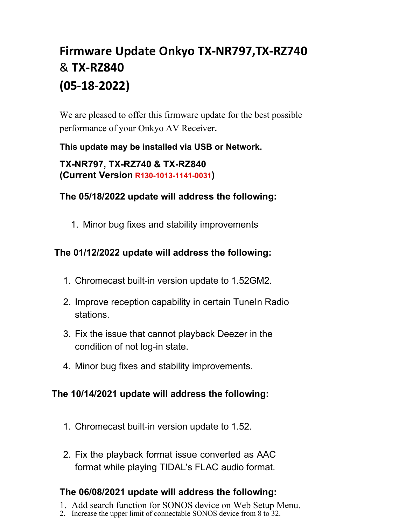# **Firmware Update Onkyo TX-NR797,TX-RZ740** & **TX-RZ840 (05-18-2022)**

We are pleased to offer this firmware update for the best possible performance of your Onkyo AV Receiver**.**

#### **This update may be installed via USB or Network.**

**TX-NR797, TX-RZ740 & TX-RZ840 (Current Version R130-1013-1141-0031)**

#### **The 05/18/2022 update will address the following:**

1. Minor bug fixes and stability improvements

## **The 01/12/2022 update will address the following:**

- 1. Chromecast built-in version update to 1.52GM2.
- 2. Improve reception capability in certain TuneIn Radio stations.
- 3. Fix the issue that cannot playback Deezer in the condition of not log-in state.
- 4. Minor bug fixes and stability improvements.

#### **The 10/14/2021 update will address the following:**

- 1. Chromecast built-in version update to 1.52.
- 2. Fix the playback format issue converted as AAC format while playing TIDAL's FLAC audio format.

## **The 06/08/2021 update will address the following:**

- 1. Add search function for SONOS device on Web Setup Menu.
- 2. Increase the upper limit of connectable SONOS device from 8 to 32.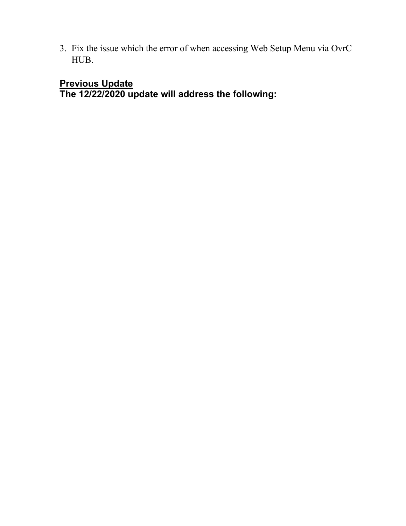3. Fix the issue which the error of when accessing Web Setup Menu via OvrC HUB.

# **Previous Update**

**The 12/22/2020 update will address the following:**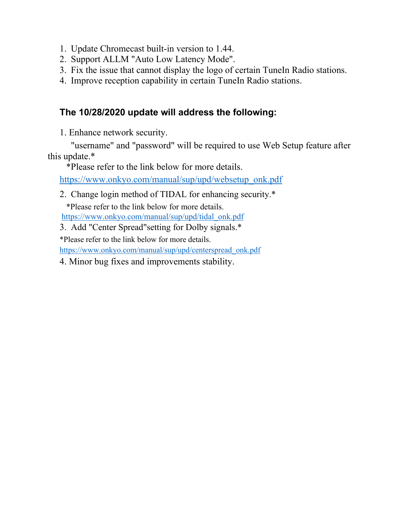- 1. Update Chromecast built-in version to 1.44.
- 2. Support ALLM "Auto Low Latency Mode".
- 3. Fix the issue that cannot display the logo of certain TuneIn Radio stations.
- 4. Improve reception capability in certain TuneIn Radio stations.

# **The 10/28/2020 update will address the following:**

1. Enhance network security.

"username" and "password" will be required to use Web Setup feature after this update.\*

\*Please refer to the link below for more details.

https://www.onkyo.com/manual/sup/upd/websetup\_onk.pdf

2. Change login method of TIDAL for enhancing security.\*

\*Please refer to the link below for more details. https://www.onkyo.com/manual/sup/upd/tidal\_onk.pdf

3. Add "Center Spread"setting for Dolby signals.\*

\*Please refer to the link below for more details.

https://www.onkyo.com/manual/sup/upd/centerspread\_onk.pdf

4. Minor bug fixes and improvements stability.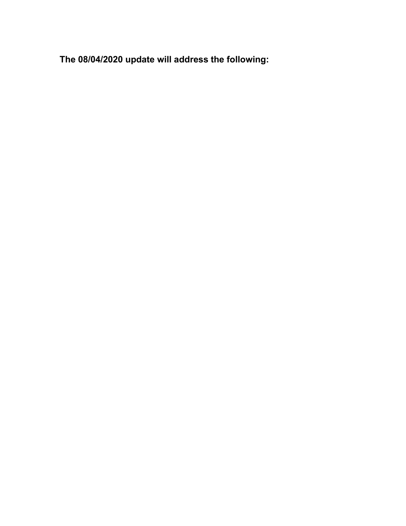**The 08/04/2020 update will address the following:**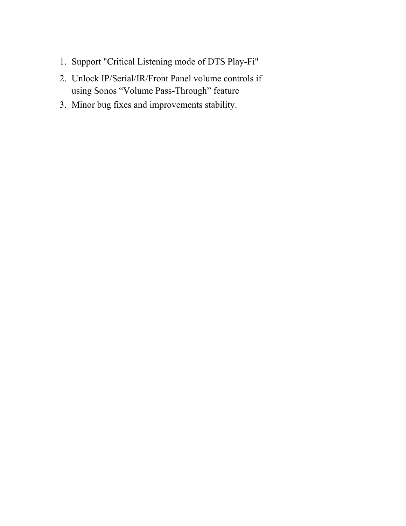- 1. Support "Critical Listening mode of DTS Play-Fi"
- 2. Unlock IP/Serial/IR/Front Panel volume controls if using Sonos "Volume Pass-Through" feature
- 3. Minor bug fixes and improvements stability.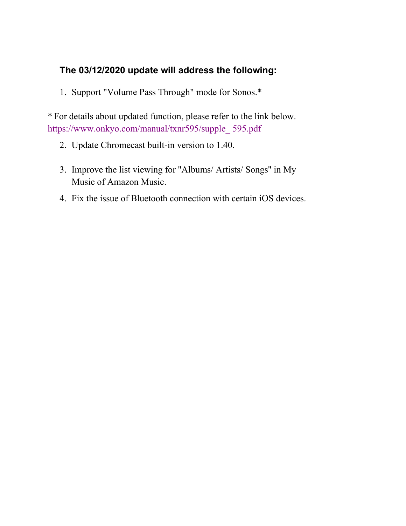## **The 03/12/2020 update will address the following:**

1. Support "Volume Pass Through" mode for Sonos.\*

\* For details about updated function, please refer to the link below. https://www.onkyo.com/manual/txnr595/supple\_ 595.pdf

- 2. Update Chromecast built-in version to 1.40.
- 3. Improve the list viewing for ''Albums/ Artists/ Songs'' in My Music of Amazon Music.
- 4. Fix the issue of Bluetooth connection with certain iOS devices.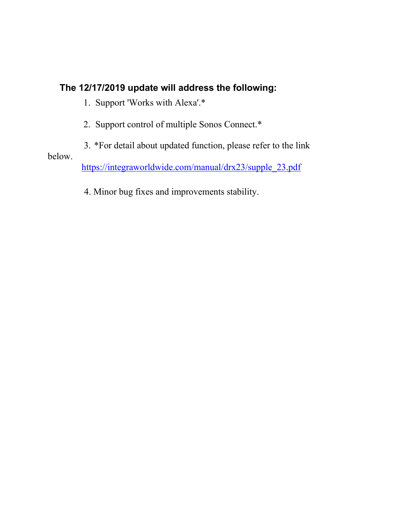#### **The 12/17/2019 update will address the following:**

1. Support 'Works with Alexa'.\*

2. Support control of multiple Sonos Connect.\*

3. \*For detail about updated function, please refer to the link below. https://integraworldwide.com/manual/drx23/supple\_23.pdf

4. Minor bug fixes and improvements stability.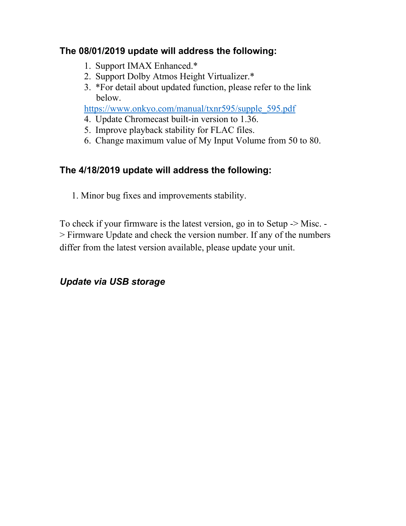## **The 08/01/2019 update will address the following:**

- 1. Support IMAX Enhanced.\*
- 2. Support Dolby Atmos Height Virtualizer.\*
- 3. \*For detail about updated function, please refer to the link below.

https://www.onkyo.com/manual/txnr595/supple\_595.pdf

- 4. Update Chromecast built-in version to 1.36.
- 5. Improve playback stability for FLAC files.
- 6. Change maximum value of My Input Volume from 50 to 80.

# **The 4/18/2019 update will address the following:**

1. Minor bug fixes and improvements stability.

To check if your firmware is the latest version, go in to Setup -> Misc. - > Firmware Update and check the version number. If any of the numbers differ from the latest version available, please update your unit.

# *Update via USB storage*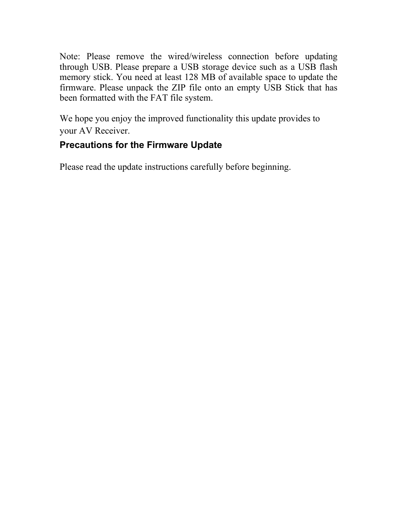Note: Please remove the wired/wireless connection before updating through USB. Please prepare a USB storage device such as a USB flash memory stick. You need at least 128 MB of available space to update the firmware. Please unpack the ZIP file onto an empty USB Stick that has been formatted with the FAT file system.

We hope you enjoy the improved functionality this update provides to your AV Receiver.

# **Precautions for the Firmware Update**

Please read the update instructions carefully before beginning.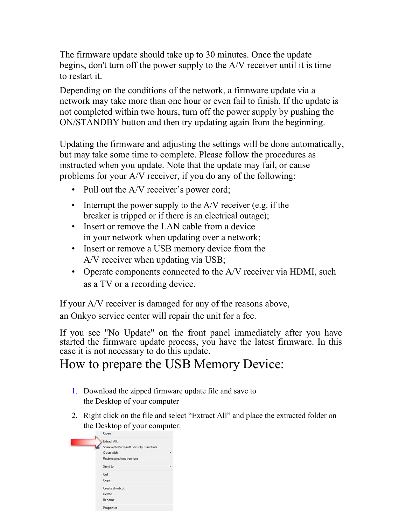The firmware update should take up to 30 minutes. Once the update begins, don't turn off the power supply to the A/V receiver until it is time to restart it.

Depending on the conditions of the network, a firmware update via a network may take more than one hour or even fail to finish. If the update is not completed within two hours, turn off the power supply by pushing the ON/STANDBY button and then try updating again from the beginning.

Updating the firmware and adjusting the settings will be done automatically, but may take some time to complete. Please follow the procedures as instructed when you update. Note that the update may fail, or cause problems for your A/V receiver, if you do any of the following:

- Pull out the A/V receiver's power cord;
- Interrupt the power supply to the A/V receiver (e.g. if the breaker is tripped or if there is an electrical outage);
- Insert or remove the LAN cable from a device in your network when updating over a network;
- Insert or remove a USB memory device from the A/V receiver when updating via USB;
- Operate components connected to the A/V receiver via HDMI, such as a TV or a recording device.

If your A/V receiver is damaged for any of the reasons above,

an Onkyo service center will repair the unit for a fee.

If you see "No Update" on the front panel immediately after you have started the firmware update process, you have the latest firmware. In this case it is not necessary to do this update.

# How to prepare the USB Memory Device:

- 1. Download the zipped firmware update file and save to the Desktop of your computer
- 2. Right click on the file and select "Extract All" and place the extracted folder on the Desktop of your computer:

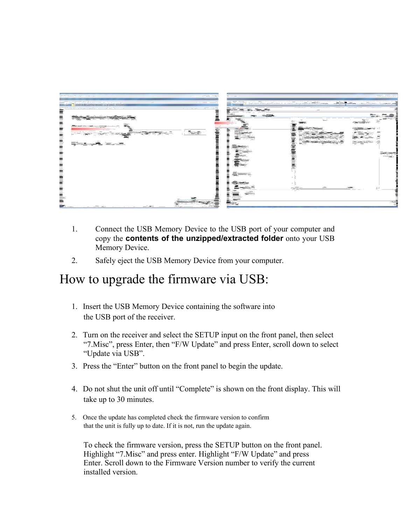

- 1. Connect the USB Memory Device to the USB port of your computer and copy the **contents of the unzipped/extracted folder** onto your USB Memory Device.
- 2. Safely eject the USB Memory Device from your computer.

# How to upgrade the firmware via USB:

- 1. Insert the USB Memory Device containing the software into the USB port of the receiver.
- 2. Turn on the receiver and select the SETUP input on the front panel, then select "7.Misc", press Enter, then "F/W Update" and press Enter, scroll down to select "Update via USB".
- 3. Press the "Enter" button on the front panel to begin the update.
- 4. Do not shut the unit off until "Complete" is shown on the front display. This will take up to 30 minutes.
- 5. Once the update has completed check the firmware version to confirm that the unit is fully up to date. If it is not, run the update again.

To check the firmware version, press the SETUP button on the front panel. Highlight "7.Misc" and press enter. Highlight "F/W Update" and press Enter. Scroll down to the Firmware Version number to verify the current installed version.